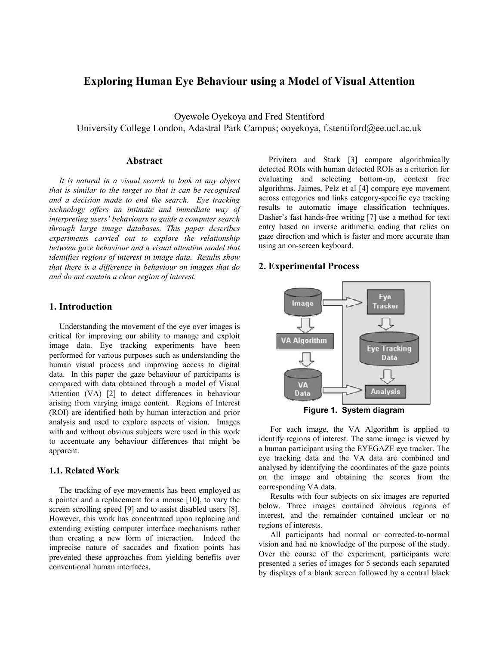# **Exploring Human Eye Behaviour using a Model of Visual Attention**

Oyewole Oyekoya and Fred Stentiford University College London, Adastral Park Campus; ooyekoya, f.stentiford@ee.ucl.ac.uk

### **Abstract**

*It is natural in a visual search to look at any object that is similar to the target so that it can be recognised and a decision made to end the search. Eye tracking technology offers an intimate and immediate way of interpreting users' behaviours to guide a computer search through large image databases. This paper describes experiments carried out to explore the relationship between gaze behaviour and a visual attention model that identifies regions of interest in image data. Results show that there is a difference in behaviour on images that do and do not contain a clear region of interest.* 

## **1. Introduction**

Understanding the movement of the eye over images is critical for improving our ability to manage and exploit image data. Eye tracking experiments have been performed for various purposes such as understanding the human visual process and improving access to digital data. In this paper the gaze behaviour of participants is compared with data obtained through a model of Visual Attention (VA) [2] to detect differences in behaviour arising from varying image content. Regions of Interest (ROI) are identified both by human interaction and prior analysis and used to explore aspects of vision. Images with and without obvious subjects were used in this work to accentuate any behaviour differences that might be apparent.

#### **1.1. Related Work**

The tracking of eye movements has been employed as a pointer and a replacement for a mouse [10], to vary the screen scrolling speed [9] and to assist disabled users [8]. However, this work has concentrated upon replacing and extending existing computer interface mechanisms rather than creating a new form of interaction. Indeed the imprecise nature of saccades and fixation points has prevented these approaches from yielding benefits over conventional human interfaces.

Privitera and Stark [3] compare algorithmically detected ROIs with human detected ROIs as a criterion for evaluating and selecting bottom-up, context free algorithms. Jaimes, Pelz et al [4] compare eye movement across categories and links category-specific eye tracking results to automatic image classification techniques. Dasher's fast hands-free writing [7] use a method for text entry based on inverse arithmetic coding that relies on gaze direction and which is faster and more accurate than using an on-screen keyboard.

### **2. Experimental Process**



**Figure 1. System diagram** 

For each image, the VA Algorithm is applied to identify regions of interest. The same image is viewed by a human participant using the EYEGAZE eye tracker. The eye tracking data and the VA data are combined and analysed by identifying the coordinates of the gaze points on the image and obtaining the scores from the corresponding VA data.

Results with four subjects on six images are reported below. Three images contained obvious regions of interest, and the remainder contained unclear or no regions of interests.

All participants had normal or corrected-to-normal vision and had no knowledge of the purpose of the study. Over the course of the experiment, participants were presented a series of images for 5 seconds each separated by displays of a blank screen followed by a central black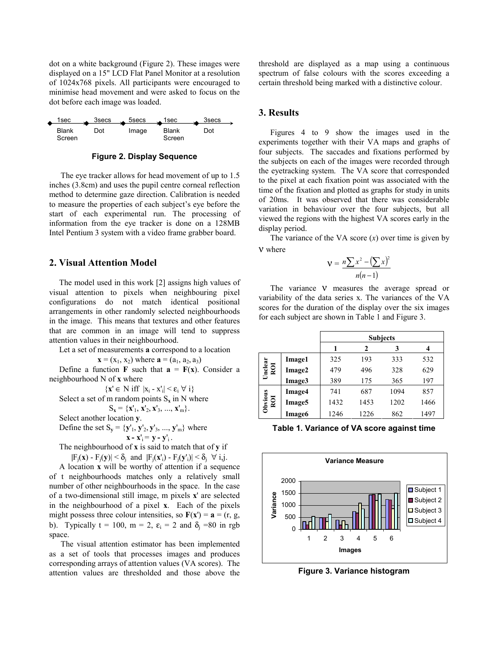dot on a white background (Figure 2). These images were displayed on a 15" LCD Flat Panel Monitor at a resolution of 1024x768 pixels. All participants were encouraged to minimise head movement and were asked to focus on the dot before each image was loaded.



**Figure 2. Display Sequence** 

The eye tracker allows for head movement of up to 1.5 inches (3.8cm) and uses the pupil centre corneal reflection method to determine gaze direction. Calibration is needed to measure the properties of each subject's eye before the start of each experimental run. The processing of information from the eye tracker is done on a 128MB Intel Pentium 3 system with a video frame grabber board.

#### **2. Visual Attention Model**

The model used in this work [2] assigns high values of visual attention to pixels when neighbouring pixel configurations do not match identical positional arrangements in other randomly selected neighbourhoods in the image. This means that textures and other features that are common in an image will tend to suppress attention values in their neighbourhood.

Let a set of measurements **a** correspond to a location

 **where**  $**a** = (a<sub>1</sub>, a<sub>2</sub>, a<sub>3</sub>)$ 

Define a function **F** such that  $\mathbf{a} = \mathbf{F}(\mathbf{x})$ . Consider a neighbourhood N of **x** where

 $\{x' \in N \text{ iff } |x_i - x'_i| \le \varepsilon_i \; \forall \; i\}$ 

Select a set of m random points  $S_x$  in N where

$$
S_{x} = \{x'_{1}, x'_{2}, x'_{3}, ..., x'_{m}\}.
$$

Select another location **y**.

Define the set 
$$
S_y = \{y'_1, y'_2, y'_3, ..., y'_m\}
$$
 where  $x - x'_i = y - y'_i$ .

The neighbourhood of **x** is said to match that of **y** if  $|F_i(\mathbf{x}) - F_i(\mathbf{y})| < \delta_i$  and  $|F_i(\mathbf{x}^i) - F_j(\mathbf{y}^i)| < \delta_i \ \forall i,j$ .

A location **x** will be worthy of attention if a sequence of t neighbourhoods matches only a relatively small number of other neighbourhoods in the space. In the case of a two-dimensional still image, m pixels **x**' are selected in the neighbourhood of a pixel **x**. Each of the pixels might possess three colour intensities, so  $F(x') = a = (r, g, g')$ b). Typically t = 100, m = 2,  $\varepsilon_i$  = 2 and  $\delta_i$  =80 in rgb space.

The visual attention estimator has been implemented as a set of tools that processes images and produces corresponding arrays of attention values (VA scores). The attention values are thresholded and those above the

threshold are displayed as a map using a continuous spectrum of false colours with the scores exceeding a certain threshold being marked with a distinctive colour.

## **3. Results**

Figures 4 to 9 show the images used in the experiments together with their VA maps and graphs of four subjects. The saccades and fixations performed by the subjects on each of the images were recorded through the eyetracking system. The VA score that corresponded to the pixel at each fixation point was associated with the time of the fixation and plotted as graphs for study in units of 20ms. It was observed that there was considerable variation in behaviour over the four subjects, but all viewed the regions with the highest VA scores early in the display period.

The variance of the VA score  $(x)$  over time is given by ν where

$$
V = \frac{n\sum x^2 - (\sum x)^2}{n(n-1)}
$$

The variance **v** measures the average spread or variability of the data series x. The variances of the VA scores for the duration of the display over the six images for each subject are shown in Table 1 and Figure 3.

|                |                    | <b>Subjects</b> |      |      |      |
|----------------|--------------------|-----------------|------|------|------|
|                |                    | 1               | 2    | 3    | 4    |
| Undear<br>ROI  | Image1             | 325             | 193  | 333  | 532  |
|                | Image2             | 479             | 496  | 328  | 629  |
|                | Image3             | 389             | 175  | 365  | 197  |
| Obvious<br>ROI | Image4             | 741             | 687  | 1094 | 857  |
|                | Image <sub>5</sub> | 1432            | 1453 | 1202 | 1466 |
|                | Image6             | 1246            | 1226 | 862  | 1497 |

**Table 1. Variance of VA score against time** 



**Figure 3. Variance histogram**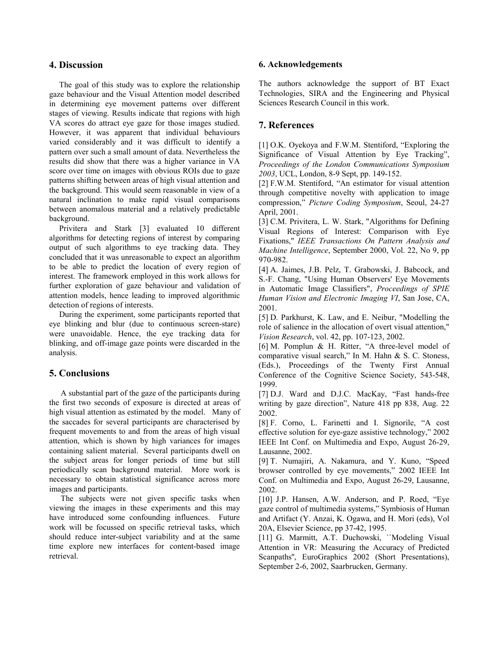### **4. Discussion**

The goal of this study was to explore the relationship gaze behaviour and the Visual Attention model described in determining eye movement patterns over different stages of viewing. Results indicate that regions with high VA scores do attract eye gaze for those images studied. However, it was apparent that individual behaviours varied considerably and it was difficult to identify a pattern over such a small amount of data. Nevertheless the results did show that there was a higher variance in VA score over time on images with obvious ROIs due to gaze patterns shifting between areas of high visual attention and the background. This would seem reasonable in view of a natural inclination to make rapid visual comparisons between anomalous material and a relatively predictable background.

Privitera and Stark [3] evaluated 10 different algorithms for detecting regions of interest by comparing output of such algorithms to eye tracking data. They concluded that it was unreasonable to expect an algorithm to be able to predict the location of every region of interest. The framework employed in this work allows for further exploration of gaze behaviour and validation of attention models, hence leading to improved algorithmic detection of regions of interests.

During the experiment, some participants reported that eye blinking and blur (due to continuous screen-stare) were unavoidable. Hence, the eye tracking data for blinking, and off-image gaze points were discarded in the analysis.

### **5. Conclusions**

A substantial part of the gaze of the participants during the first two seconds of exposure is directed at areas of high visual attention as estimated by the model. Many of the saccades for several participants are characterised by frequent movements to and from the areas of high visual attention, which is shown by high variances for images containing salient material. Several participants dwell on the subject areas for longer periods of time but still periodically scan background material. More work is necessary to obtain statistical significance across more images and participants.

The subjects were not given specific tasks when viewing the images in these experiments and this may have introduced some confounding influences. Future work will be focussed on specific retrieval tasks, which should reduce inter-subject variability and at the same time explore new interfaces for content-based image retrieval.

### **6. Acknowledgements**

The authors acknowledge the support of BT Exact Technologies, SIRA and the Engineering and Physical Sciences Research Council in this work.

# **7. References**

[1] O.K. Oyekoya and F.W.M. Stentiford, "Exploring the Significance of Visual Attention by Eye Tracking", *Proceedings of the London Communications Symposium 2003*, UCL, London, 8-9 Sept, pp. 149-152.

[2] F.W.M. Stentiford, "An estimator for visual attention through competitive novelty with application to image compression," *Picture Coding Symposium*, Seoul, 24-27 April, 2001.

[3] C.M. Privitera, L. W. Stark, "Algorithms for Defining Visual Regions of Interest: Comparison with Eye Fixations," *IEEE Transactions On Pattern Analysis and Machine Intelligence*, September 2000, Vol. 22, No 9, pp 970-982.

[4] A. Jaimes, J.B. Pelz, T. Grabowski, J. Babcock, and S.-F. Chang, "Using Human Observers' Eye Movements in Automatic Image Classifiers", *Proceedings of SPIE Human Vision and Electronic Imaging VI*, San Jose, CA, 2001.

[5] D. Parkhurst, K. Law, and E. Neibur, "Modelling the role of salience in the allocation of overt visual attention," *Vision Research*, vol. 42, pp. 107-123, 2002.

[6] M. Pomplun & H. Ritter, "A three-level model of comparative visual search," In M. Hahn & S. C. Stoness, (Eds.), Proceedings of the Twenty First Annual Conference of the Cognitive Science Society, 543-548, 1999.

[7] D.J. Ward and D.J.C. MacKay, "Fast hands-free writing by gaze direction", Nature 418 pp 838, Aug. 22 2002.

[8] F. Corno, L. Farinetti and I. Signorile, "A cost effective solution for eye-gaze assistive technology," 2002 IEEE Int Conf. on Multimedia and Expo, August 26-29, Lausanne, 2002.

[9] T. Numajiri, A. Nakamura, and Y. Kuno, "Speed browser controlled by eye movements," 2002 IEEE Int Conf. on Multimedia and Expo, August 26-29, Lausanne, 2002.

[10] J.P. Hansen, A.W. Anderson, and P. Roed, "Eye gaze control of multimedia systems," Symbiosis of Human and Artifact (Y. Anzai, K. Ogawa, and H. Mori (eds), Vol 20A, Elsevier Science, pp 37-42, 1995.

[11] G. Marmitt, A.T. Duchowski, "Modeling Visual Attention in VR: Measuring the Accuracy of Predicted Scanpaths", EuroGraphics 2002 (Short Presentations), September 2-6, 2002, Saarbrucken, Germany.